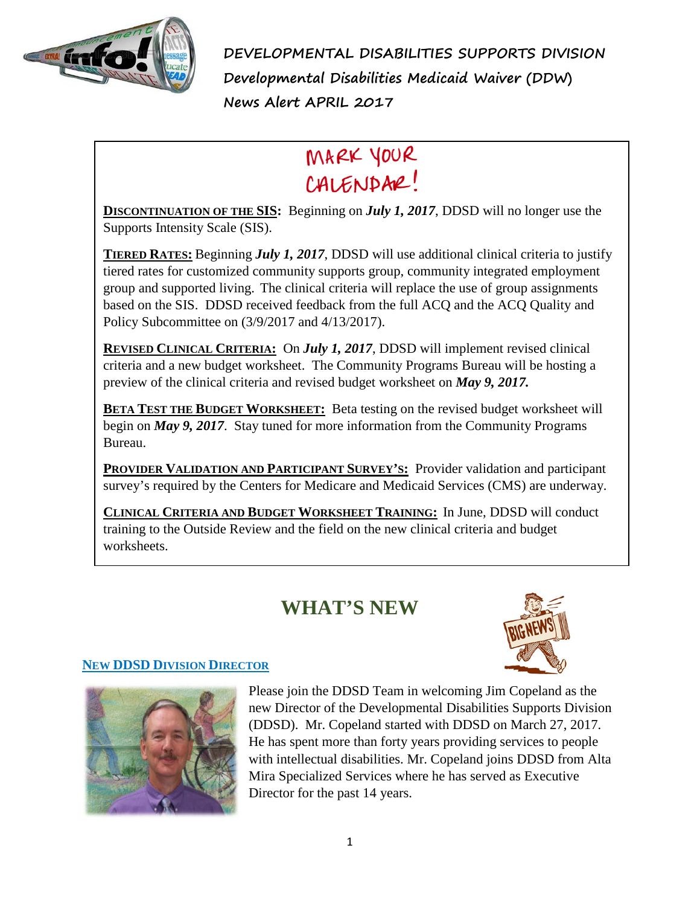

**DEVELOPMENTAL DISABILITIES SUPPORTS DIVISION Developmental Disabilities Medicaid Waiver (DDW) News Alert APRIL 2017**

# MARK YOUR CALENDAR!

**DISCONTINUATION OF THE SIS:** Beginning on *July 1, 2017*, DDSD will no longer use the Supports Intensity Scale (SIS).

**TIERED RATES:** Beginning *July 1, 2017*, DDSD will use additional clinical criteria to justify tiered rates for customized community supports group, community integrated employment group and supported living. The clinical criteria will replace the use of group assignments based on the SIS. DDSD received feedback from the full ACQ and the ACQ Quality and Policy Subcommittee on (3/9/2017 and 4/13/2017).

**REVISED CLINICAL CRITERIA:** On *July 1, 2017*, DDSD will implement revised clinical criteria and a new budget worksheet. The Community Programs Bureau will be hosting a preview of the clinical criteria and revised budget worksheet on *May 9, 2017.*

**BETA TEST THE BUDGET WORKSHEET:** Beta testing on the revised budget worksheet will begin on *May 9, 2017*. Stay tuned for more information from the Community Programs Bureau.

**PROVIDER VALIDATION AND PARTICIPANT SURVEY'S:** Provider validation and participant survey's required by the Centers for Medicare and Medicaid Services (CMS) are underway.

**CLINICAL CRITERIA AND BUDGET WORKSHEET TRAINING:** In June, DDSD will conduct training to the Outside Review and the field on the new clinical criteria and budget worksheets.

## **WHAT'S NEW**



### **NEW DDSD DIVISION DIRECTOR**



Please join the DDSD Team in welcoming Jim Copeland as the new Director of the Developmental Disabilities Supports Division (DDSD). Mr. Copeland started with DDSD on March 27, 2017. He has spent more than forty years providing services to people with intellectual disabilities. Mr. Copeland joins DDSD from Alta Mira Specialized Services where he has served as Executive Director for the past 14 years.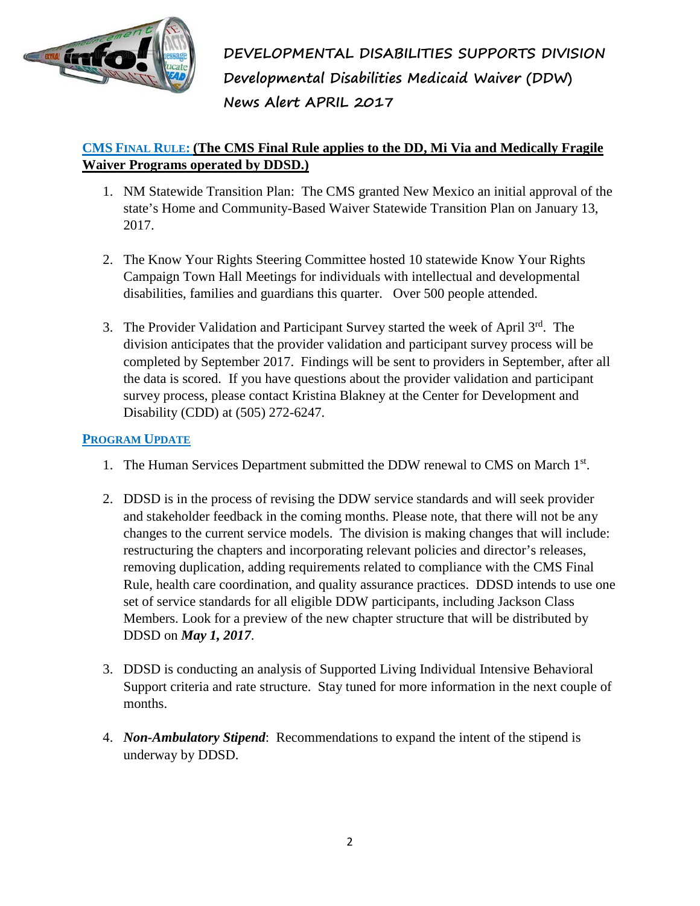

**DEVELOPMENTAL DISABILITIES SUPPORTS DIVISION Developmental Disabilities Medicaid Waiver (DDW) News Alert APRIL 2017**

#### **CMS FINAL RULE: (The CMS Final Rule applies to the DD, Mi Via and Medically Fragile Waiver Programs operated by DDSD.)**

- 1. NM Statewide Transition Plan: The CMS granted New Mexico an initial approval of the state's Home and Community-Based Waiver Statewide Transition Plan on January 13, 2017.
- 2. The Know Your Rights Steering Committee hosted 10 statewide Know Your Rights Campaign Town Hall Meetings for individuals with intellectual and developmental disabilities, families and guardians this quarter. Over 500 people attended.
- 3. The Provider Validation and Participant Survey started the week of April 3<sup>rd</sup>. The division anticipates that the provider validation and participant survey process will be completed by September 2017. Findings will be sent to providers in September, after all the data is scored. If you have questions about the provider validation and participant survey process, please contact Kristina Blakney at the Center for Development and Disability (CDD) at (505) 272-6247.

#### **PROGRAM UPDATE**

- 1. The Human Services Department submitted the DDW renewal to CMS on March 1st.
- 2. DDSD is in the process of revising the DDW service standards and will seek provider and stakeholder feedback in the coming months. Please note, that there will not be any changes to the current service models. The division is making changes that will include: restructuring the chapters and incorporating relevant policies and director's releases, removing duplication, adding requirements related to compliance with the CMS Final Rule, health care coordination, and quality assurance practices. DDSD intends to use one set of service standards for all eligible DDW participants, including Jackson Class Members. Look for a preview of the new chapter structure that will be distributed by DDSD on *May 1, 2017*.
- 3. DDSD is conducting an analysis of Supported Living Individual Intensive Behavioral Support criteria and rate structure. Stay tuned for more information in the next couple of months.
- 4. *Non-Ambulatory Stipend*: Recommendations to expand the intent of the stipend is underway by DDSD.